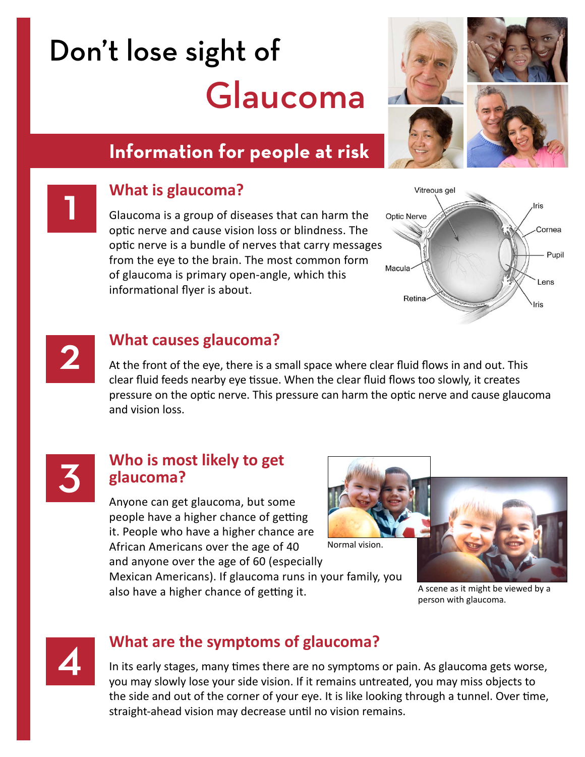# Don't lose sight of Glaucoma

# **Information for people at risk**



### 1 **What is glaucoma?**

Glaucoma is a group of diseases that can harm the optic nerve and cause vision loss or blindness. The optic nerve is a bundle of nerves that carry messages from the eye to the brain. The most common form of glaucoma is primary open-angle, which this informational flyer is about.





#### 2 **What causes glaucoma?**

At the front of the eye, there is a small space where clear fluid flows in and out. This clear fluid feeds nearby eye tissue. When the clear fluid flows too slowly, it creates pressure on the optic nerve. This pressure can harm the optic nerve and cause glaucoma and vision loss.



#### 3 **Who is most likely to get glaucoma?**

Anyone can get glaucoma, but some people have a higher chance of getting it. People who have a higher chance are African Americans over the age of 40 and anyone over the age of 60 (especially

Normal vision.

Mexican Americans). If glaucoma runs in your family, you also have a higher chance of getting it. A scene as it might be viewed by a



person with glaucoma.



#### 4 **What are the symptoms of glaucoma?**

In its early stages, many times there are no symptoms or pain. As glaucoma gets worse, you may slowly lose your side vision. If it remains untreated, you may miss objects to the side and out of the corner of your eye. It is like looking through a tunnel. Over time, straight-ahead vision may decrease until no vision remains.